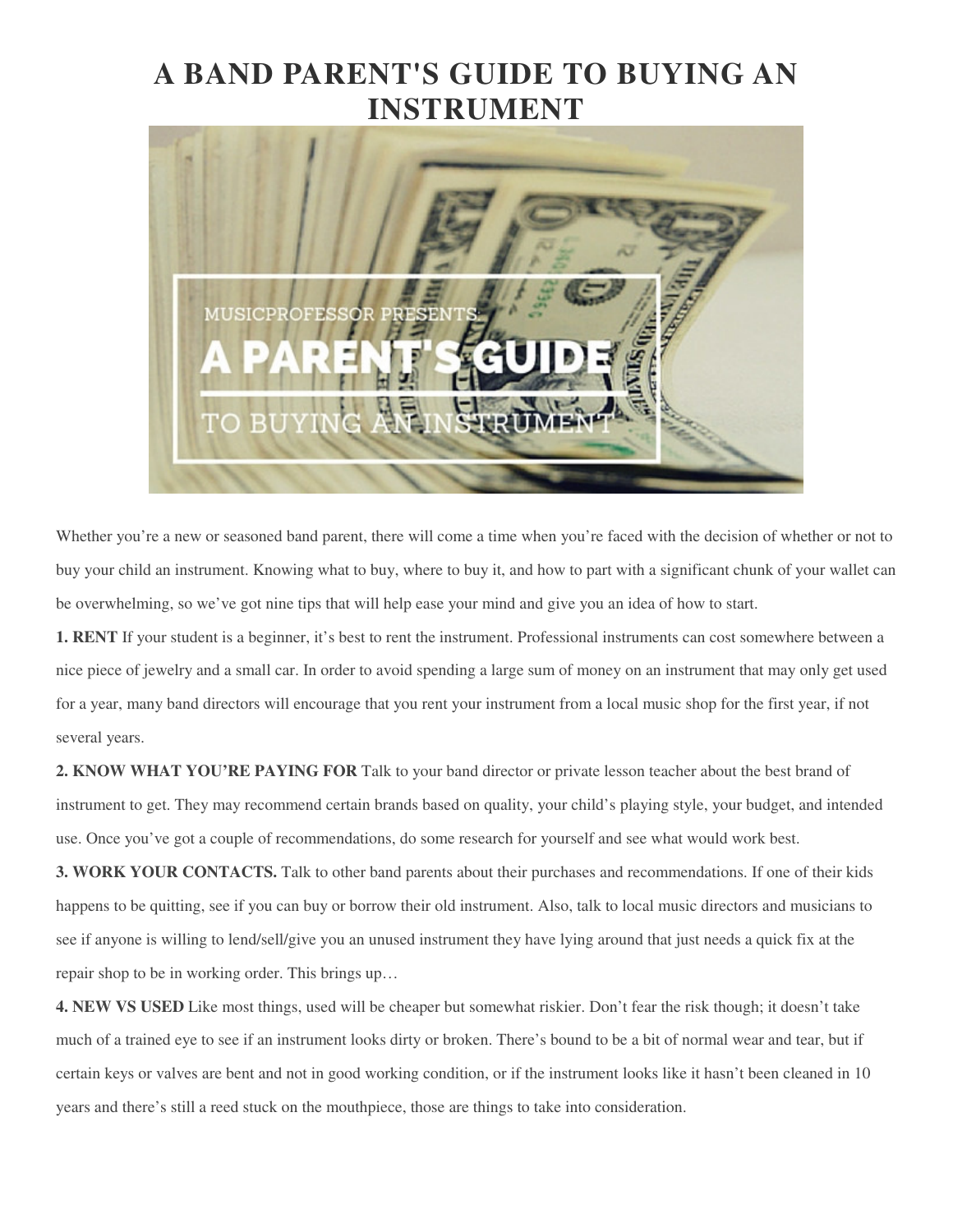## **A BAND PARENT'S GUIDE TO BUYING AN INSTRUMENT**



Whether you're a new or seasoned band parent, there will come a time when you're faced with the decision of whether or not to buy your child an instrument. Knowing what to buy, where to buy it, and how to part with a significant chunk of your wallet can be overwhelming, so we've got nine tips that will help ease your mind and give you an idea of how to start.

**1. RENT** If your student is a beginner, it's best to rent the instrument. Professional instruments can cost somewhere between a nice piece of jewelry and a small car. In order to avoid spending a large sum of money on an instrument that may only get used for a year, many band directors will encourage that you rent your instrument from a local music shop for the first year, if not several years.

**2. KNOW WHAT YOU'RE PAYING FOR** Talk to your band director or private lesson teacher about the best brand of instrument to get. They may recommend certain brands based on quality, your child's playing style, your budget, and intended use. Once you've got a couple of recommendations, do some research for yourself and see what would work best.

**3. WORK YOUR CONTACTS.** Talk to other band parents about their purchases and recommendations. If one of their kids happens to be quitting, see if you can buy or borrow their old instrument. Also, talk to local music directors and musicians to see if anyone is willing to lend/sell/give you an unused instrument they have lying around that just needs a quick fix at the repair shop to be in working order. This brings up…

**4. NEW VS USED** Like most things, used will be cheaper but somewhat riskier. Don't fear the risk though; it doesn't take much of a trained eye to see if an instrument looks dirty or broken. There's bound to be a bit of normal wear and tear, but if certain keys or valves are bent and not in good working condition, or if the instrument looks like it hasn't been cleaned in 10 years and there's still a reed stuck on the mouthpiece, those are things to take into consideration.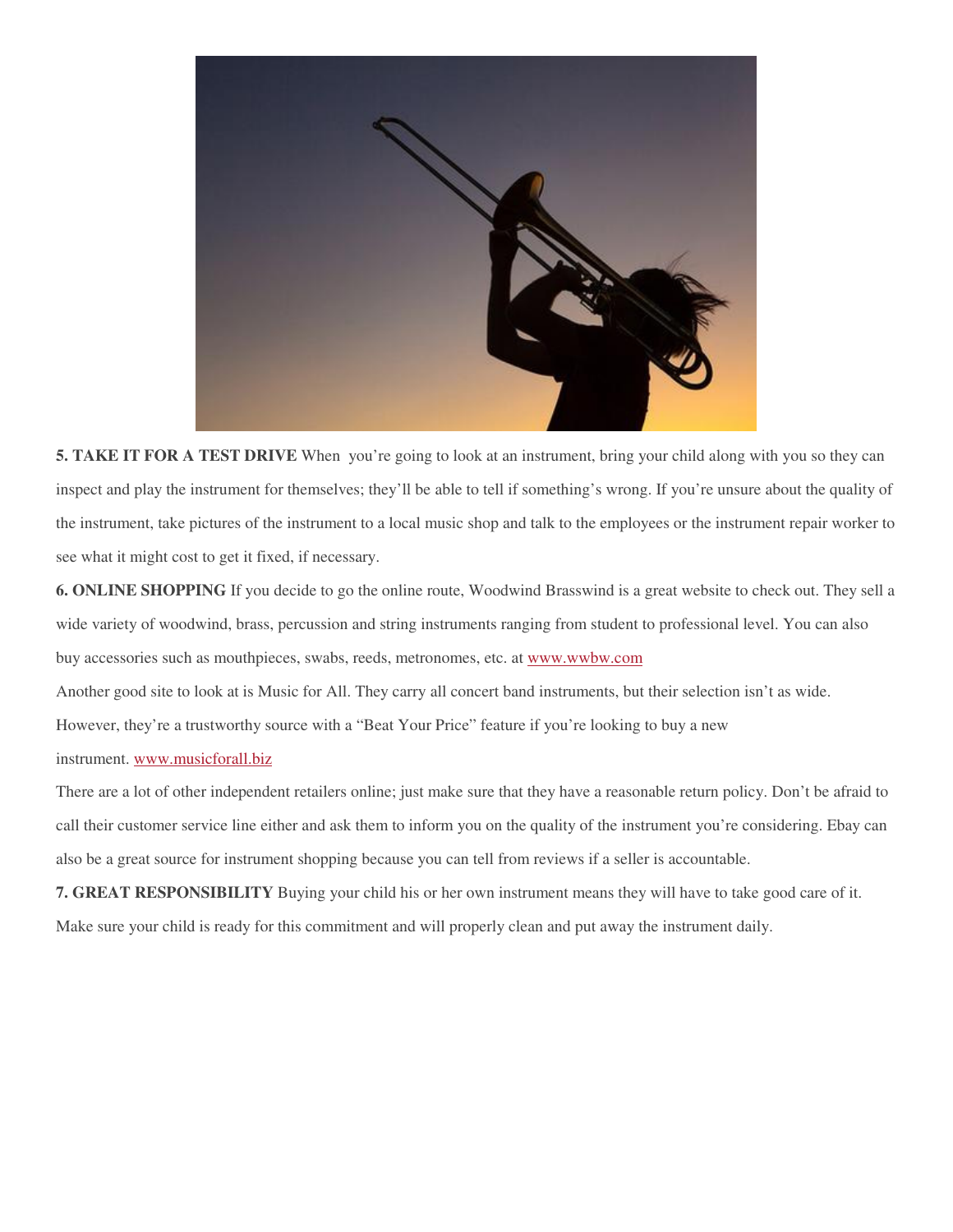

**5. TAKE IT FOR A TEST DRIVE** When you're going to look at an instrument, bring your child along with you so they can inspect and play the instrument for themselves; they'll be able to tell if something's wrong. If you're unsure about the quality of the instrument, take pictures of the instrument to a local music shop and talk to the employees or the instrument repair worker to see what it might cost to get it fixed, if necessary.

**6. ONLINE SHOPPING** If you decide to go the online route, Woodwind Brasswind is a great website to check out. They sell a wide variety of woodwind, brass, percussion and string instruments ranging from student to professional level. You can also buy accessories such as mouthpieces, swabs, reeds, metronomes, etc. at www.wwbw.com

Another good site to look at is Music for All. They carry all concert band instruments, but their selection isn't as wide.

However, they're a trustworthy source with a "Beat Your Price" feature if you're looking to buy a new

## instrument. www.musicforall.biz

There are a lot of other independent retailers online; just make sure that they have a reasonable return policy. Don't be afraid to call their customer service line either and ask them to inform you on the quality of the instrument you're considering. Ebay can also be a great source for instrument shopping because you can tell from reviews if a seller is accountable.

**7. GREAT RESPONSIBILITY** Buying your child his or her own instrument means they will have to take good care of it.

Make sure your child is ready for this commitment and will properly clean and put away the instrument daily.